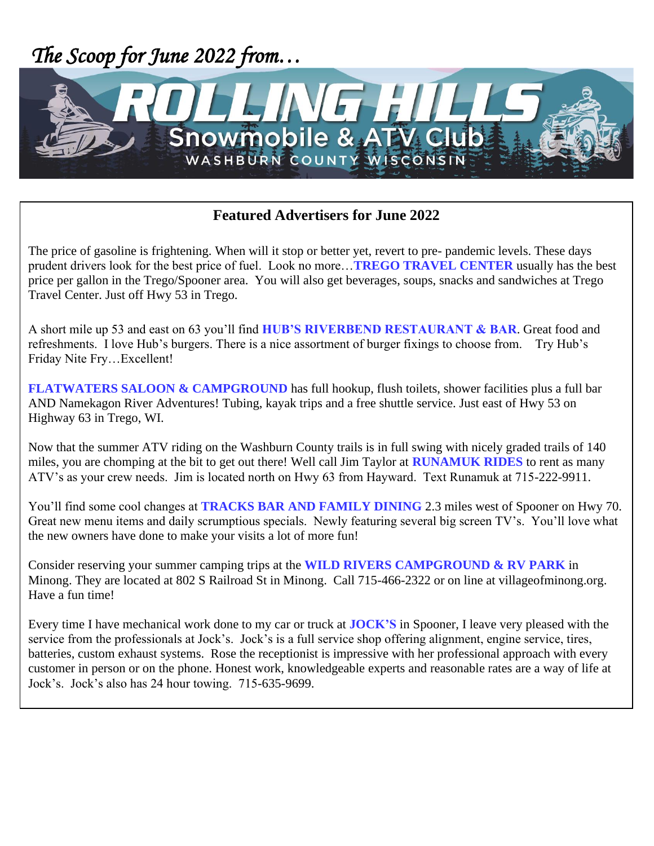

## **Featured Advertisers for June 2022**

The price of gasoline is frightening. When will it stop or better yet, revert to pre- pandemic levels. These days prudent drivers look for the best price of fuel. Look no more…**TREGO TRAVEL CENTER** usually has the best price per gallon in the Trego/Spooner area. You will also get beverages, soups, snacks and sandwiches at Trego Travel Center. Just off Hwy 53 in Trego.

A short mile up 53 and east on 63 you'll find **HUB'S RIVERBEND RESTAURANT & BAR**. Great food and refreshments. I love Hub's burgers. There is a nice assortment of burger fixings to choose from. Try Hub's Friday Nite Fry…Excellent!

**FLATWATERS SALOON & CAMPGROUND** has full hookup, flush toilets, shower facilities plus a full bar AND Namekagon River Adventures! Tubing, kayak trips and a free shuttle service. Just east of Hwy 53 on Highway 63 in Trego, WI.

Now that the summer ATV riding on the Washburn County trails is in full swing with nicely graded trails of 140 miles, you are chomping at the bit to get out there! Well call Jim Taylor at **RUNAMUK RIDES** to rent as many ATV's as your crew needs. Jim is located north on Hwy 63 from Hayward. Text Runamuk at 715-222-9911.

You'll find some cool changes at **TRACKS BAR AND FAMILY DINING** 2.3 miles west of Spooner on Hwy 70. Great new menu items and daily scrumptious specials. Newly featuring several big screen TV's. You'll love what the new owners have done to make your visits a lot of more fun!

Consider reserving your summer camping trips at the **WILD RIVERS CAMPGROUND & RV PARK** in Minong. They are located at 802 S Railroad St in Minong. Call 715-466-2322 or on line at villageofminong.org. Have a fun time!

Every time I have mechanical work done to my car or truck at **JOCK'S** in Spooner, I leave very pleased with the service from the professionals at Jock's. Jock's is a full service shop offering alignment, engine service, tires, batteries, custom exhaust systems. Rose the receptionist is impressive with her professional approach with every customer in person or on the phone. Honest work, knowledgeable experts and reasonable rates are a way of life at Jock's. Jock's also has 24 hour towing. 715-635-9699.